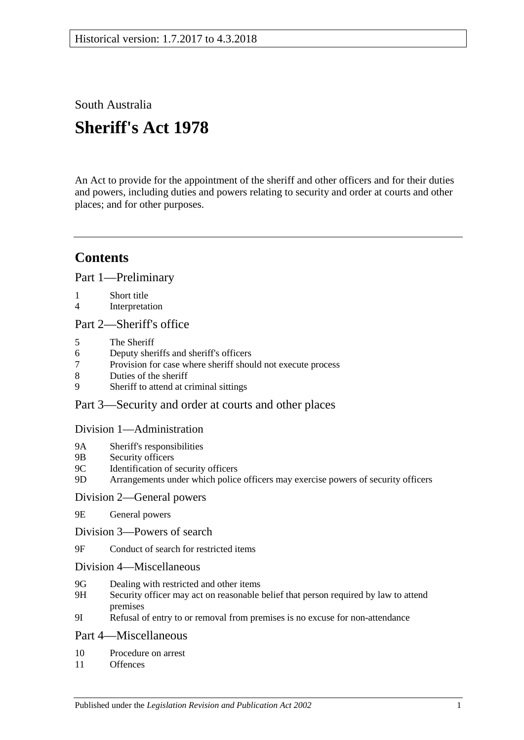# South Australia

# **Sheriff's Act 1978**

An Act to provide for the appointment of the sheriff and other officers and for their duties and powers, including duties and powers relating to security and order at courts and other places; and for other purposes.

# **Contents**

[Part 1—Preliminary](#page-1-0)

- 1 [Short title](#page-1-1)<br>4 Interpretat
- [Interpretation](#page-1-2)

#### [Part 2—Sheriff's office](#page-2-0)

- 5 [The Sheriff](#page-2-1)
- 6 [Deputy sheriffs and sheriff's officers](#page-3-0)
- Provision for case [where sheriff should not execute process](#page-3-1)
- 8 [Duties of the sheriff](#page-3-2)
- 9 [Sheriff to attend at criminal sittings](#page-4-0)

### [Part 3—Security and order at courts and other places](#page-4-1)

#### [Division 1—Administration](#page-4-2)

- 9A [Sheriff's responsibilities](#page-4-3)<br>9B Security officers
- [Security officers](#page-4-4)
- 9C [Identification of security officers](#page-4-5)
- 9D [Arrangements under which police officers may exercise powers of security officers](#page-5-0)

### [Division 2—General powers](#page-5-1)

- 9E [General powers](#page-5-2)
- [Division 3—Powers of search](#page-6-0)
- 9F [Conduct of search for restricted items](#page-6-1)
- [Division 4—Miscellaneous](#page-8-0)
- 9G [Dealing with restricted and other items](#page-8-1)
- 9H [Security officer may act on reasonable belief that person required by law to attend](#page-9-0)  [premises](#page-9-0)
- 9I [Refusal of entry to or removal from premises is no excuse for non-attendance](#page-9-1)

### [Part 4—Miscellaneous](#page-9-2)

- 10 [Procedure on arrest](#page-9-3)
- 11 [Offences](#page-10-0)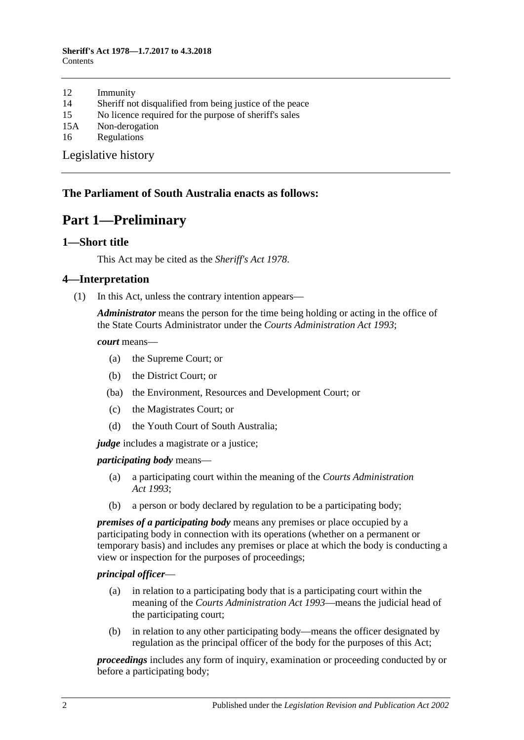#### **Sheriff's Act 1978—1.7.2017 to 4.3.2018 Contents**

- 12 [Immunity](#page-10-1)<br>14 Sheriff no
- 14 [Sheriff not disqualified from being justice of the peace](#page-10-2)<br>15 No licence required for the purpose of sheriff's sales
- 15 [No licence required for the purpose of sheriff's sales](#page-10-3)<br>15A Non-derogation
- [Non-derogation](#page-10-4)
- 16 [Regulations](#page-10-5)

[Legislative history](#page-12-0)

### <span id="page-1-0"></span>**The Parliament of South Australia enacts as follows:**

# **Part 1—Preliminary**

#### <span id="page-1-1"></span>**1—Short title**

This Act may be cited as the *Sheriff's Act 1978*.

#### <span id="page-1-2"></span>**4—Interpretation**

(1) In this Act, unless the contrary intention appears—

*Administrator* means the person for the time being holding or acting in the office of the State Courts Administrator under the *[Courts Administration Act](http://www.legislation.sa.gov.au/index.aspx?action=legref&type=act&legtitle=Courts%20Administration%20Act%201993) 1993*;

*court* means—

- (a) the Supreme Court; or
- (b) the District Court; or
- (ba) the Environment, Resources and Development Court; or
- (c) the Magistrates Court; or
- (d) the Youth Court of South Australia;

*judge* includes a magistrate or a justice;

#### *participating body* means—

- (a) a participating court within the meaning of the *[Courts Administration](http://www.legislation.sa.gov.au/index.aspx?action=legref&type=act&legtitle=Courts%20Administration%20Act%201993)  Act [1993](http://www.legislation.sa.gov.au/index.aspx?action=legref&type=act&legtitle=Courts%20Administration%20Act%201993)*;
- (b) a person or body declared by regulation to be a participating body;

*premises of a participating body* means any premises or place occupied by a participating body in connection with its operations (whether on a permanent or temporary basis) and includes any premises or place at which the body is conducting a view or inspection for the purposes of proceedings;

#### *principal officer*—

- (a) in relation to a participating body that is a participating court within the meaning of the *[Courts Administration Act](http://www.legislation.sa.gov.au/index.aspx?action=legref&type=act&legtitle=Courts%20Administration%20Act%201993) 1993*—means the judicial head of the participating court;
- (b) in relation to any other participating body—means the officer designated by regulation as the principal officer of the body for the purposes of this Act;

*proceedings* includes any form of inquiry, examination or proceeding conducted by or before a participating body;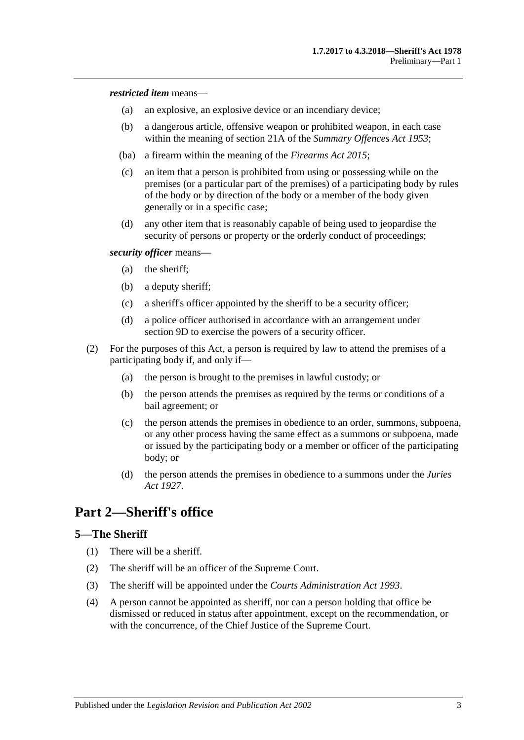*restricted item* means—

- (a) an explosive, an explosive device or an incendiary device;
- (b) a dangerous article, offensive weapon or prohibited weapon, in each case within the meaning of section 21A of the *[Summary Offences Act](http://www.legislation.sa.gov.au/index.aspx?action=legref&type=act&legtitle=Summary%20Offences%20Act%201953) 1953*;
- (ba) a firearm within the meaning of the *[Firearms Act](http://www.legislation.sa.gov.au/index.aspx?action=legref&type=act&legtitle=Firearms%20Act%202015) 2015*;
- (c) an item that a person is prohibited from using or possessing while on the premises (or a particular part of the premises) of a participating body by rules of the body or by direction of the body or a member of the body given generally or in a specific case;
- (d) any other item that is reasonably capable of being used to jeopardise the security of persons or property or the orderly conduct of proceedings;

*security officer* means—

- (a) the sheriff;
- (b) a deputy sheriff;
- (c) a sheriff's officer appointed by the sheriff to be a security officer;
- (d) a police officer authorised in accordance with an arrangement under [section](#page-5-0) 9D to exercise the powers of a security officer.
- (2) For the purposes of this Act, a person is required by law to attend the premises of a participating body if, and only if—
	- (a) the person is brought to the premises in lawful custody; or
	- (b) the person attends the premises as required by the terms or conditions of a bail agreement; or
	- (c) the person attends the premises in obedience to an order, summons, subpoena, or any other process having the same effect as a summons or subpoena, made or issued by the participating body or a member or officer of the participating body; or
	- (d) the person attends the premises in obedience to a summons under the *[Juries](http://www.legislation.sa.gov.au/index.aspx?action=legref&type=act&legtitle=Juries%20Act%201927)  Act [1927](http://www.legislation.sa.gov.au/index.aspx?action=legref&type=act&legtitle=Juries%20Act%201927)*.

# <span id="page-2-0"></span>**Part 2—Sheriff's office**

#### <span id="page-2-1"></span>**5—The Sheriff**

- (1) There will be a sheriff.
- (2) The sheriff will be an officer of the Supreme Court.
- (3) The sheriff will be appointed under the *[Courts Administration Act](http://www.legislation.sa.gov.au/index.aspx?action=legref&type=act&legtitle=Courts%20Administration%20Act%201993) 1993*.
- (4) A person cannot be appointed as sheriff, nor can a person holding that office be dismissed or reduced in status after appointment, except on the recommendation, or with the concurrence, of the Chief Justice of the Supreme Court.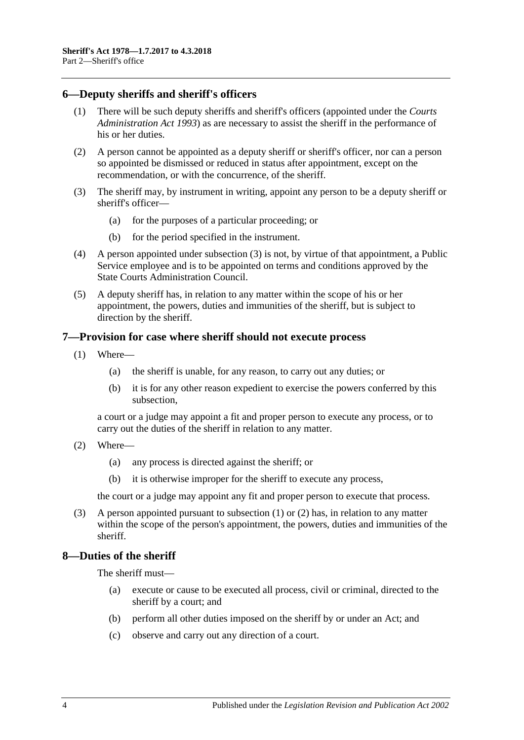### <span id="page-3-0"></span>**6—Deputy sheriffs and sheriff's officers**

- (1) There will be such deputy sheriffs and sheriff's officers (appointed under the *[Courts](http://www.legislation.sa.gov.au/index.aspx?action=legref&type=act&legtitle=Courts%20Administration%20Act%201993)  [Administration Act](http://www.legislation.sa.gov.au/index.aspx?action=legref&type=act&legtitle=Courts%20Administration%20Act%201993) 1993*) as are necessary to assist the sheriff in the performance of his or her duties.
- (2) A person cannot be appointed as a deputy sheriff or sheriff's officer, nor can a person so appointed be dismissed or reduced in status after appointment, except on the recommendation, or with the concurrence, of the sheriff.
- <span id="page-3-3"></span>(3) The sheriff may, by instrument in writing, appoint any person to be a deputy sheriff or sheriff's officer—
	- (a) for the purposes of a particular proceeding; or
	- (b) for the period specified in the instrument.
- (4) A person appointed under [subsection](#page-3-3) (3) is not, by virtue of that appointment, a Public Service employee and is to be appointed on terms and conditions approved by the State Courts Administration Council.
- (5) A deputy sheriff has, in relation to any matter within the scope of his or her appointment, the powers, duties and immunities of the sheriff, but is subject to direction by the sheriff.

#### <span id="page-3-4"></span><span id="page-3-1"></span>**7—Provision for case where sheriff should not execute process**

- (1) Where—
	- (a) the sheriff is unable, for any reason, to carry out any duties; or
	- (b) it is for any other reason expedient to exercise the powers conferred by this subsection,

a court or a judge may appoint a fit and proper person to execute any process, or to carry out the duties of the sheriff in relation to any matter.

- <span id="page-3-5"></span>(2) Where—
	- (a) any process is directed against the sheriff; or
	- (b) it is otherwise improper for the sheriff to execute any process,

the court or a judge may appoint any fit and proper person to execute that process.

(3) A person appointed pursuant to [subsection](#page-3-4) (1) or [\(2\)](#page-3-5) has, in relation to any matter within the scope of the person's appointment, the powers, duties and immunities of the sheriff.

#### <span id="page-3-2"></span>**8—Duties of the sheriff**

The sheriff must—

- (a) execute or cause to be executed all process, civil or criminal, directed to the sheriff by a court; and
- (b) perform all other duties imposed on the sheriff by or under an Act; and
- (c) observe and carry out any direction of a court.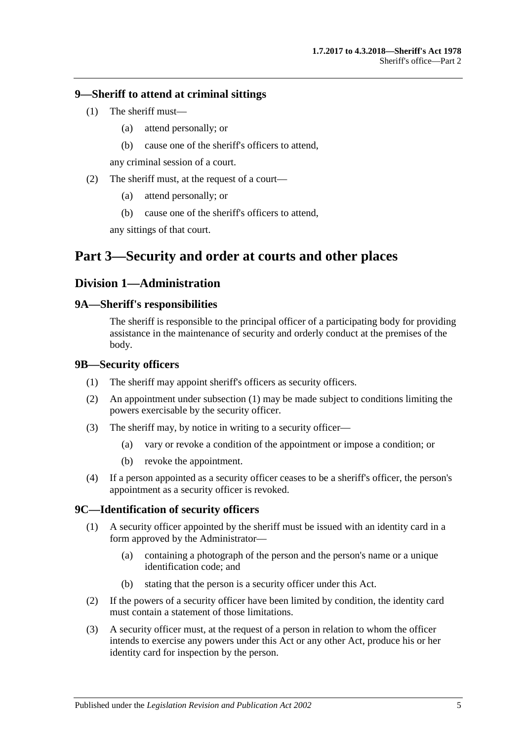#### <span id="page-4-0"></span>**9—Sheriff to attend at criminal sittings**

- (1) The sheriff must—
	- (a) attend personally; or
	- (b) cause one of the sheriff's officers to attend,

any criminal session of a court.

- (2) The sheriff must, at the request of a court—
	- (a) attend personally; or
	- (b) cause one of the sheriff's officers to attend,

any sittings of that court.

# <span id="page-4-1"></span>**Part 3—Security and order at courts and other places**

### <span id="page-4-2"></span>**Division 1—Administration**

#### <span id="page-4-3"></span>**9A—Sheriff's responsibilities**

The sheriff is responsible to the principal officer of a participating body for providing assistance in the maintenance of security and orderly conduct at the premises of the body.

#### <span id="page-4-6"></span><span id="page-4-4"></span>**9B—Security officers**

- (1) The sheriff may appoint sheriff's officers as security officers.
- (2) An appointment under [subsection](#page-4-6) (1) may be made subject to conditions limiting the powers exercisable by the security officer.
- (3) The sheriff may, by notice in writing to a security officer—
	- (a) vary or revoke a condition of the appointment or impose a condition; or
	- (b) revoke the appointment.
- (4) If a person appointed as a security officer ceases to be a sheriff's officer, the person's appointment as a security officer is revoked.

### <span id="page-4-5"></span>**9C—Identification of security officers**

- (1) A security officer appointed by the sheriff must be issued with an identity card in a form approved by the Administrator—
	- (a) containing a photograph of the person and the person's name or a unique identification code; and
	- (b) stating that the person is a security officer under this Act.
- (2) If the powers of a security officer have been limited by condition, the identity card must contain a statement of those limitations.
- (3) A security officer must, at the request of a person in relation to whom the officer intends to exercise any powers under this Act or any other Act, produce his or her identity card for inspection by the person.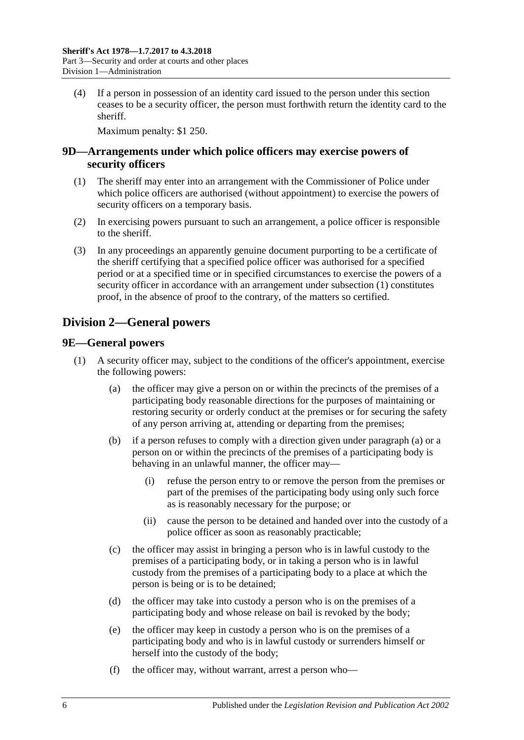(4) If a person in possession of an identity card issued to the person under this section ceases to be a security officer, the person must forthwith return the identity card to the sheriff.

Maximum penalty: \$1 250.

### <span id="page-5-0"></span>**9D—Arrangements under which police officers may exercise powers of security officers**

- <span id="page-5-3"></span>(1) The sheriff may enter into an arrangement with the Commissioner of Police under which police officers are authorised (without appointment) to exercise the powers of security officers on a temporary basis.
- (2) In exercising powers pursuant to such an arrangement, a police officer is responsible to the sheriff.
- (3) In any proceedings an apparently genuine document purporting to be a certificate of the sheriff certifying that a specified police officer was authorised for a specified period or at a specified time or in specified circumstances to exercise the powers of a security officer in accordance with an arrangement under [subsection](#page-5-3) (1) constitutes proof, in the absence of proof to the contrary, of the matters so certified.

# <span id="page-5-1"></span>**Division 2—General powers**

### <span id="page-5-2"></span>**9E—General powers**

- <span id="page-5-4"></span>(1) A security officer may, subject to the conditions of the officer's appointment, exercise the following powers:
	- (a) the officer may give a person on or within the precincts of the premises of a participating body reasonable directions for the purposes of maintaining or restoring security or orderly conduct at the premises or for securing the safety of any person arriving at, attending or departing from the premises;
	- (b) if a person refuses to comply with a direction given under [paragraph](#page-5-4) (a) or a person on or within the precincts of the premises of a participating body is behaving in an unlawful manner, the officer may—
		- (i) refuse the person entry to or remove the person from the premises or part of the premises of the participating body using only such force as is reasonably necessary for the purpose; or
		- (ii) cause the person to be detained and handed over into the custody of a police officer as soon as reasonably practicable;
	- (c) the officer may assist in bringing a person who is in lawful custody to the premises of a participating body, or in taking a person who is in lawful custody from the premises of a participating body to a place at which the person is being or is to be detained;
	- (d) the officer may take into custody a person who is on the premises of a participating body and whose release on bail is revoked by the body;
	- (e) the officer may keep in custody a person who is on the premises of a participating body and who is in lawful custody or surrenders himself or herself into the custody of the body;
	- (f) the officer may, without warrant, arrest a person who—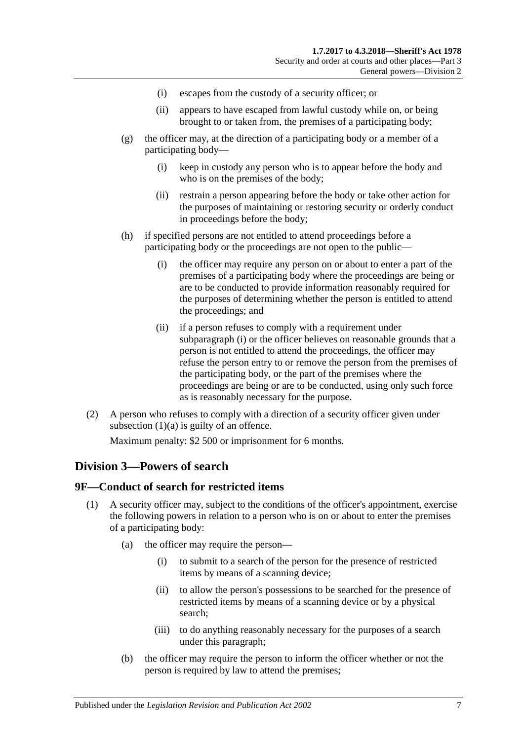- (i) escapes from the custody of a security officer; or
- (ii) appears to have escaped from lawful custody while on, or being brought to or taken from, the premises of a participating body;
- (g) the officer may, at the direction of a participating body or a member of a participating body—
	- (i) keep in custody any person who is to appear before the body and who is on the premises of the body;
	- (ii) restrain a person appearing before the body or take other action for the purposes of maintaining or restoring security or orderly conduct in proceedings before the body;
- <span id="page-6-2"></span>(h) if specified persons are not entitled to attend proceedings before a participating body or the proceedings are not open to the public—
	- (i) the officer may require any person on or about to enter a part of the premises of a participating body where the proceedings are being or are to be conducted to provide information reasonably required for the purposes of determining whether the person is entitled to attend the proceedings; and
	- (ii) if a person refuses to comply with a requirement under [subparagraph](#page-6-2) (i) or the officer believes on reasonable grounds that a person is not entitled to attend the proceedings, the officer may refuse the person entry to or remove the person from the premises of the participating body, or the part of the premises where the proceedings are being or are to be conducted, using only such force as is reasonably necessary for the purpose.
- (2) A person who refuses to comply with a direction of a security officer given under [subsection](#page-5-4)  $(1)(a)$  is guilty of an offence.

Maximum penalty: \$2 500 or imprisonment for 6 months.

### <span id="page-6-0"></span>**Division 3—Powers of search**

#### <span id="page-6-4"></span><span id="page-6-1"></span>**9F—Conduct of search for restricted items**

- <span id="page-6-6"></span><span id="page-6-5"></span><span id="page-6-3"></span>(1) A security officer may, subject to the conditions of the officer's appointment, exercise the following powers in relation to a person who is on or about to enter the premises of a participating body:
	- (a) the officer may require the person—
		- (i) to submit to a search of the person for the presence of restricted items by means of a scanning device;
		- (ii) to allow the person's possessions to be searched for the presence of restricted items by means of a scanning device or by a physical search;
		- (iii) to do anything reasonably necessary for the purposes of a search under this paragraph;
	- (b) the officer may require the person to inform the officer whether or not the person is required by law to attend the premises;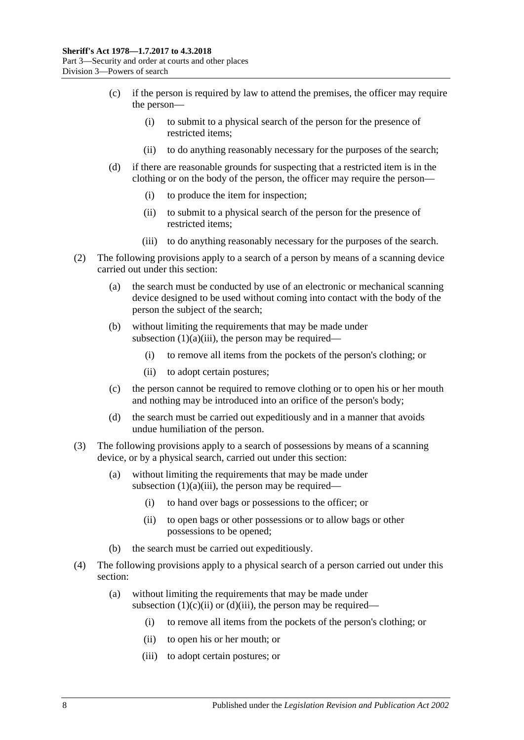- (c) if the person is required by law to attend the premises, the officer may require the person—
	- (i) to submit to a physical search of the person for the presence of restricted items;
	- (ii) to do anything reasonably necessary for the purposes of the search;
- <span id="page-7-0"></span>(d) if there are reasonable grounds for suspecting that a restricted item is in the clothing or on the body of the person, the officer may require the person—
	- (i) to produce the item for inspection;
	- (ii) to submit to a physical search of the person for the presence of restricted items;
	- (iii) to do anything reasonably necessary for the purposes of the search.
- <span id="page-7-1"></span>(2) The following provisions apply to a search of a person by means of a scanning device carried out under this section:
	- (a) the search must be conducted by use of an electronic or mechanical scanning device designed to be used without coming into contact with the body of the person the subject of the search;
	- (b) without limiting the requirements that may be made under [subsection](#page-6-3)  $(1)(a)(iii)$ , the person may be required–
		- (i) to remove all items from the pockets of the person's clothing; or
		- (ii) to adopt certain postures;
	- (c) the person cannot be required to remove clothing or to open his or her mouth and nothing may be introduced into an orifice of the person's body;
	- (d) the search must be carried out expeditiously and in a manner that avoids undue humiliation of the person.
- (3) The following provisions apply to a search of possessions by means of a scanning device, or by a physical search, carried out under this section:
	- (a) without limiting the requirements that may be made under [subsection](#page-6-3)  $(1)(a)(iii)$ , the person may be required—
		- (i) to hand over bags or possessions to the officer; or
		- (ii) to open bags or other possessions or to allow bags or other possessions to be opened;
	- (b) the search must be carried out expeditiously.
- (4) The following provisions apply to a physical search of a person carried out under this section:
	- (a) without limiting the requirements that may be made under [subsection](#page-7-0)  $(1)(c)(ii)$  or  $(d)(iii)$ , the person may be required—
		- (i) to remove all items from the pockets of the person's clothing; or
		- (ii) to open his or her mouth; or
		- (iii) to adopt certain postures; or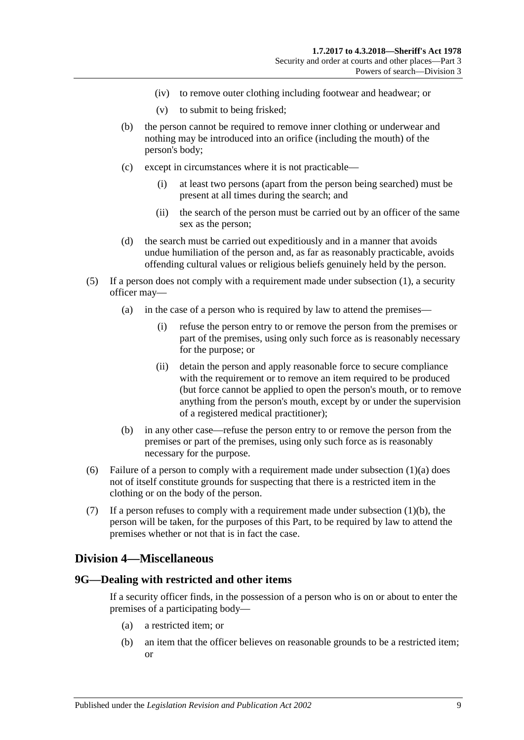- (iv) to remove outer clothing including footwear and headwear; or
- (v) to submit to being frisked;
- (b) the person cannot be required to remove inner clothing or underwear and nothing may be introduced into an orifice (including the mouth) of the person's body;
- (c) except in circumstances where it is not practicable—
	- (i) at least two persons (apart from the person being searched) must be present at all times during the search; and
	- (ii) the search of the person must be carried out by an officer of the same sex as the person;
- (d) the search must be carried out expeditiously and in a manner that avoids undue humiliation of the person and, as far as reasonably practicable, avoids offending cultural values or religious beliefs genuinely held by the person.
- (5) If a person does not comply with a requirement made under [subsection](#page-6-4) (1), a security officer may—
	- (a) in the case of a person who is required by law to attend the premises—
		- (i) refuse the person entry to or remove the person from the premises or part of the premises, using only such force as is reasonably necessary for the purpose; or
		- (ii) detain the person and apply reasonable force to secure compliance with the requirement or to remove an item required to be produced (but force cannot be applied to open the person's mouth, or to remove anything from the person's mouth, except by or under the supervision of a registered medical practitioner);
	- (b) in any other case—refuse the person entry to or remove the person from the premises or part of the premises, using only such force as is reasonably necessary for the purpose.
- (6) Failure of a person to comply with a requirement made under [subsection](#page-6-5)  $(1)(a)$  does not of itself constitute grounds for suspecting that there is a restricted item in the clothing or on the body of the person.
- (7) If a person refuses to comply with a requirement made under [subsection](#page-6-6)  $(1)(b)$ , the person will be taken, for the purposes of this Part, to be required by law to attend the premises whether or not that is in fact the case.

### <span id="page-8-0"></span>**Division 4—Miscellaneous**

#### <span id="page-8-2"></span><span id="page-8-1"></span>**9G—Dealing with restricted and other items**

If a security officer finds, in the possession of a person who is on or about to enter the premises of a participating body—

- (a) a restricted item; or
- <span id="page-8-3"></span>(b) an item that the officer believes on reasonable grounds to be a restricted item; or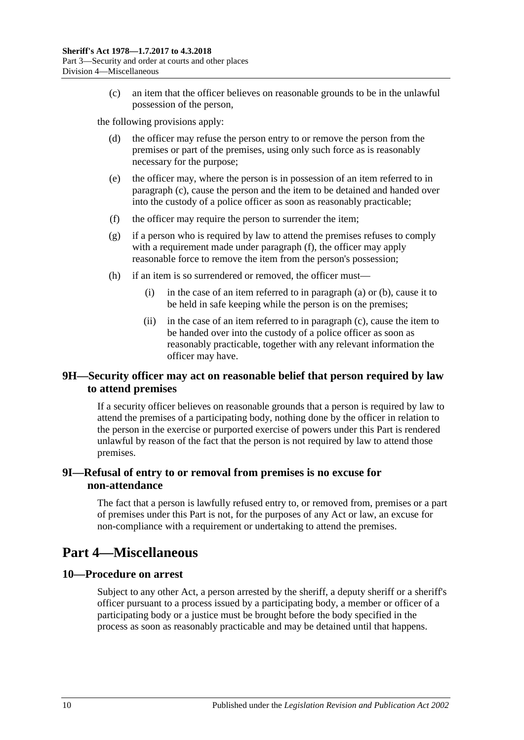(c) an item that the officer believes on reasonable grounds to be in the unlawful possession of the person,

<span id="page-9-4"></span>the following provisions apply:

- (d) the officer may refuse the person entry to or remove the person from the premises or part of the premises, using only such force as is reasonably necessary for the purpose;
- (e) the officer may, where the person is in possession of an item referred to in [paragraph](#page-9-4) (c), cause the person and the item to be detained and handed over into the custody of a police officer as soon as reasonably practicable;
- <span id="page-9-5"></span>(f) the officer may require the person to surrender the item;
- (g) if a person who is required by law to attend the premises refuses to comply with a requirement made under [paragraph](#page-9-5) (f), the officer may apply reasonable force to remove the item from the person's possession;
- (h) if an item is so surrendered or removed, the officer must—
	- (i) in the case of an item referred to in [paragraph](#page-8-2) (a) o[r \(b\),](#page-8-3) cause it to be held in safe keeping while the person is on the premises;
	- (ii) in the case of an item referred to in [paragraph](#page-9-4) (c), cause the item to be handed over into the custody of a police officer as soon as reasonably practicable, together with any relevant information the officer may have.

## <span id="page-9-0"></span>**9H—Security officer may act on reasonable belief that person required by law to attend premises**

If a security officer believes on reasonable grounds that a person is required by law to attend the premises of a participating body, nothing done by the officer in relation to the person in the exercise or purported exercise of powers under this Part is rendered unlawful by reason of the fact that the person is not required by law to attend those premises.

## <span id="page-9-1"></span>**9I—Refusal of entry to or removal from premises is no excuse for non-attendance**

The fact that a person is lawfully refused entry to, or removed from, premises or a part of premises under this Part is not, for the purposes of any Act or law, an excuse for non-compliance with a requirement or undertaking to attend the premises.

# <span id="page-9-2"></span>**Part 4—Miscellaneous**

### <span id="page-9-3"></span>**10—Procedure on arrest**

Subject to any other Act, a person arrested by the sheriff, a deputy sheriff or a sheriff's officer pursuant to a process issued by a participating body, a member or officer of a participating body or a justice must be brought before the body specified in the process as soon as reasonably practicable and may be detained until that happens.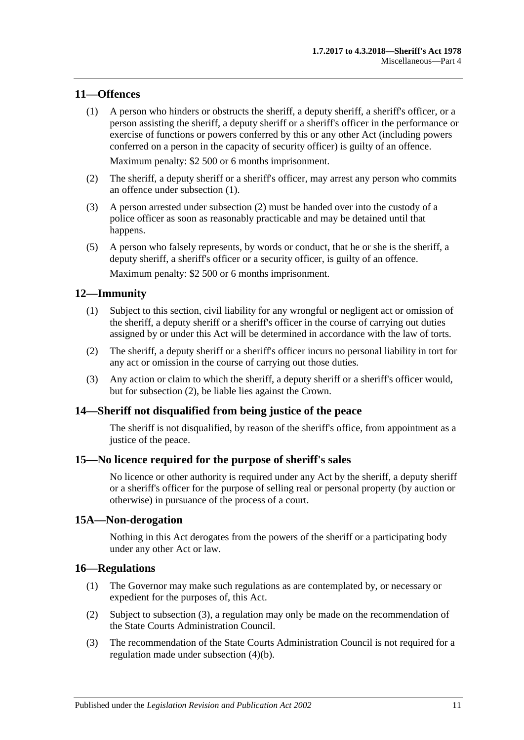#### <span id="page-10-6"></span><span id="page-10-0"></span>**11—Offences**

(1) A person who hinders or obstructs the sheriff, a deputy sheriff, a sheriff's officer, or a person assisting the sheriff, a deputy sheriff or a sheriff's officer in the performance or exercise of functions or powers conferred by this or any other Act (including powers conferred on a person in the capacity of security officer) is guilty of an offence.

Maximum penalty: \$2 500 or 6 months imprisonment.

- <span id="page-10-7"></span>(2) The sheriff, a deputy sheriff or a sheriff's officer, may arrest any person who commits an offence under [subsection](#page-10-6) (1).
- (3) A person arrested under [subsection](#page-10-7) (2) must be handed over into the custody of a police officer as soon as reasonably practicable and may be detained until that happens.
- (5) A person who falsely represents, by words or conduct, that he or she is the sheriff, a deputy sheriff, a sheriff's officer or a security officer, is guilty of an offence. Maximum penalty: \$2 500 or 6 months imprisonment.

#### <span id="page-10-1"></span>**12—Immunity**

- (1) Subject to this section, civil liability for any wrongful or negligent act or omission of the sheriff, a deputy sheriff or a sheriff's officer in the course of carrying out duties assigned by or under this Act will be determined in accordance with the law of torts.
- <span id="page-10-8"></span>(2) The sheriff, a deputy sheriff or a sheriff's officer incurs no personal liability in tort for any act or omission in the course of carrying out those duties.
- (3) Any action or claim to which the sheriff, a deputy sheriff or a sheriff's officer would, but for [subsection](#page-10-8) (2), be liable lies against the Crown.

#### <span id="page-10-2"></span>**14—Sheriff not disqualified from being justice of the peace**

The sheriff is not disqualified, by reason of the sheriff's office, from appointment as a justice of the peace.

#### <span id="page-10-3"></span>**15—No licence required for the purpose of sheriff's sales**

No licence or other authority is required under any Act by the sheriff, a deputy sheriff or a sheriff's officer for the purpose of selling real or personal property (by auction or otherwise) in pursuance of the process of a court.

#### <span id="page-10-4"></span>**15A—Non-derogation**

Nothing in this Act derogates from the powers of the sheriff or a participating body under any other Act or law.

#### <span id="page-10-10"></span><span id="page-10-5"></span>**16—Regulations**

- (1) The Governor may make such regulations as are contemplated by, or necessary or expedient for the purposes of, this Act.
- (2) Subject to [subsection](#page-10-9) (3), a regulation may only be made on the recommendation of the State Courts Administration Council.
- <span id="page-10-9"></span>(3) The recommendation of the State Courts Administration Council is not required for a regulation made under [subsection](#page-11-0) (4)(b).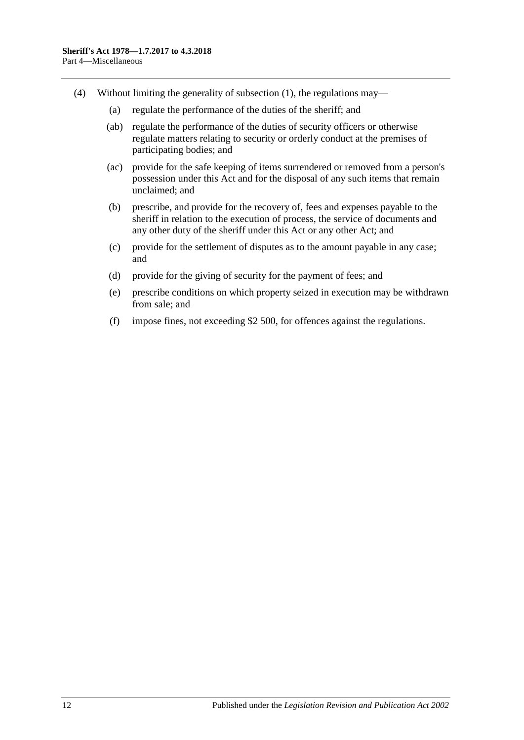- <span id="page-11-0"></span>(4) Without limiting the generality of [subsection](#page-10-10) (1), the regulations may—
	- (a) regulate the performance of the duties of the sheriff; and
	- (ab) regulate the performance of the duties of security officers or otherwise regulate matters relating to security or orderly conduct at the premises of participating bodies; and
	- (ac) provide for the safe keeping of items surrendered or removed from a person's possession under this Act and for the disposal of any such items that remain unclaimed; and
	- (b) prescribe, and provide for the recovery of, fees and expenses payable to the sheriff in relation to the execution of process, the service of documents and any other duty of the sheriff under this Act or any other Act; and
	- (c) provide for the settlement of disputes as to the amount payable in any case; and
	- (d) provide for the giving of security for the payment of fees; and
	- (e) prescribe conditions on which property seized in execution may be withdrawn from sale; and
	- (f) impose fines, not exceeding \$2 500, for offences against the regulations.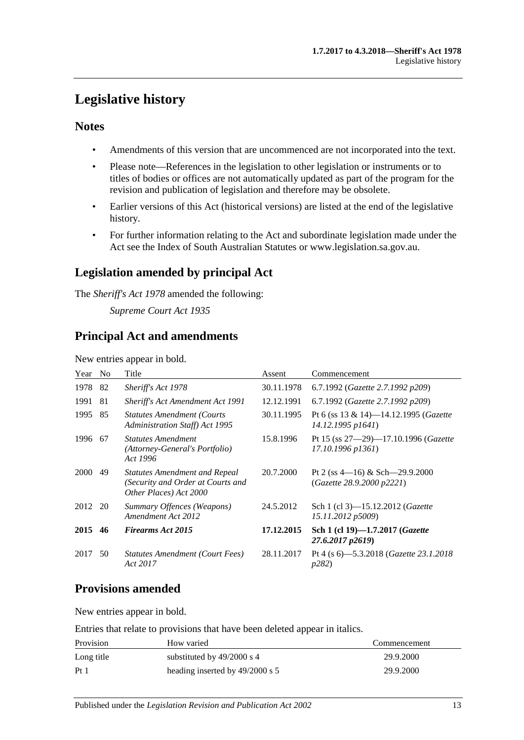# <span id="page-12-0"></span>**Legislative history**

# **Notes**

- Amendments of this version that are uncommenced are not incorporated into the text.
- Please note—References in the legislation to other legislation or instruments or to titles of bodies or offices are not automatically updated as part of the program for the revision and publication of legislation and therefore may be obsolete.
- Earlier versions of this Act (historical versions) are listed at the end of the legislative history.
- For further information relating to the Act and subordinate legislation made under the Act see the Index of South Australian Statutes or www.legislation.sa.gov.au.

# **Legislation amended by principal Act**

The *Sheriff's Act 1978* amended the following:

*Supreme Court Act 1935*

# **Principal Act and amendments**

New entries appear in bold.

| Year        | N <sub>0</sub> | Title                                                                                               | Assent     | Commencement                                                         |
|-------------|----------------|-----------------------------------------------------------------------------------------------------|------------|----------------------------------------------------------------------|
| 1978        | 82             | Sheriff's Act 1978                                                                                  | 30.11.1978 | 6.7.1992 (Gazette 2.7.1992 p209)                                     |
| 1991        | 81             | <b>Sheriff's Act Amendment Act 1991</b>                                                             | 12.12.1991 | 6.7.1992 (Gazette 2.7.1992 p209)                                     |
| 1995        | 85             | <b>Statutes Amendment (Courts)</b><br><b>Administration Staff)</b> Act 1995                         | 30.11.1995 | Pt 6 (ss 13 & 14)-14.12.1995 ( <i>Gazette</i><br>14.12.1995 p1641)   |
| 1996        | 67             | <i><b>Statutes Amendment</b></i><br>(Attorney-General's Portfolio)<br>Act 1996                      | 15.8.1996  | Pt 15 (ss $27-29$ )-17.10.1996 ( <i>Gazette</i><br>17.10.1996 p1361) |
| <b>2000</b> | 49             | <b>Statutes Amendment and Repeal</b><br>(Security and Order at Courts and<br>Other Places) Act 2000 | 20.7.2000  | Pt 2 (ss $4-16$ ) & Sch $-29.9.2000$<br>(Gazette 28.9.2000 p2221)    |
| 2012        | 20             | Summary Offences (Weapons)<br>Amendment Act 2012                                                    | 24.5.2012  | Sch 1 (cl 3)—15.12.2012 ( <i>Gazette</i><br>15.11.2012 p5009)        |
| 2015        | 46             | <b>Firearms Act 2015</b>                                                                            | 17.12.2015 | Sch 1 (cl 19)-1.7.2017 ( <i>Gazette</i><br>27.6.2017 p2619)          |
| 2017        | 50             | Statutes Amendment (Court Fees)<br>Act 2017                                                         | 28.11.2017 | Pt 4 (s 6)-5.3.2018 ( <i>Gazette 23.1.2018</i><br><i>p</i> 282)      |

# **Provisions amended**

New entries appear in bold.

Entries that relate to provisions that have been deleted appear in italics.

| Provision       | How varied                      | Commencement |
|-----------------|---------------------------------|--------------|
| Long title      | substituted by $49/2000$ s 4    | 29.9.2000    |
| Pt <sub>1</sub> | heading inserted by 49/2000 s 5 | 29.9.2000    |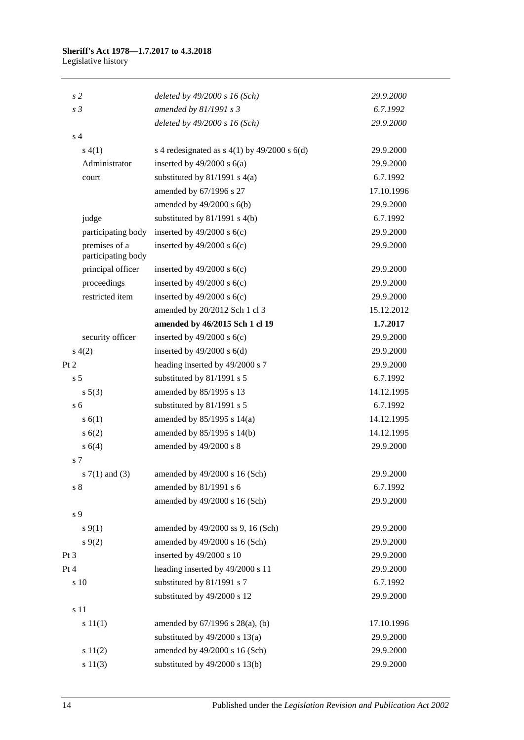# **Sheriff's Act 1978—1.7.2017 to 4.3.2018**

Legislative history

| s <sub>2</sub>                      | deleted by $49/2000 s 16$ (Sch)                    | 29.9.2000  |
|-------------------------------------|----------------------------------------------------|------------|
| s <sub>3</sub>                      | amended by 81/1991 s 3                             | 6.7.1992   |
|                                     | deleted by 49/2000 s 16 (Sch)                      | 29.9.2000  |
| s <sub>4</sub>                      |                                                    |            |
| s(4(1))                             | s 4 redesignated as s $4(1)$ by $49/2000$ s $6(d)$ | 29.9.2000  |
| Administrator                       | inserted by $49/2000$ s $6(a)$                     | 29.9.2000  |
| court                               | substituted by $81/1991$ s $4(a)$                  | 6.7.1992   |
|                                     | amended by 67/1996 s 27                            | 17.10.1996 |
|                                     | amended by $49/2000$ s $6(b)$                      | 29.9.2000  |
| judge                               | substituted by $81/1991$ s $4(b)$                  | 6.7.1992   |
| participating body                  | inserted by $49/2000$ s $6(c)$                     | 29.9.2000  |
| premises of a<br>participating body | inserted by $49/2000$ s $6(c)$                     | 29.9.2000  |
| principal officer                   | inserted by $49/2000$ s $6(c)$                     | 29.9.2000  |
| proceedings                         | inserted by $49/2000$ s $6(c)$                     | 29.9.2000  |
| restricted item                     | inserted by $49/2000$ s $6(c)$                     | 29.9.2000  |
|                                     | amended by 20/2012 Sch 1 cl 3                      | 15.12.2012 |
|                                     | amended by 46/2015 Sch 1 cl 19                     | 1.7.2017   |
| security officer                    | inserted by $49/2000$ s $6(c)$                     | 29.9.2000  |
| s(4(2)                              | inserted by $49/2000$ s $6(d)$                     | 29.9.2000  |
| Pt 2                                | heading inserted by 49/2000 s 7                    | 29.9.2000  |
| s <sub>5</sub>                      | substituted by 81/1991 s 5                         | 6.7.1992   |
| s 5(3)                              | amended by 85/1995 s 13                            | 14.12.1995 |
| s <sub>6</sub>                      | substituted by 81/1991 s 5                         | 6.7.1992   |
| s(6(1))                             | amended by 85/1995 s 14(a)                         | 14.12.1995 |
| s(6(2))                             | amended by 85/1995 s 14(b)                         | 14.12.1995 |
| s 6(4)                              | amended by 49/2000 s 8                             | 29.9.2000  |
| s 7                                 |                                                    |            |
| s $7(1)$ and $(3)$                  | amended by 49/2000 s 16 (Sch)                      | 29.9.2000  |
| s <sub>8</sub>                      | amended by 81/1991 s 6                             | 6.7.1992   |
|                                     | amended by 49/2000 s 16 (Sch)                      | 29.9.2000  |
| s 9                                 |                                                    |            |
| $s \, 9(1)$                         | amended by 49/2000 ss 9, 16 (Sch)                  | 29.9.2000  |
| $s \, 9(2)$                         | amended by 49/2000 s 16 (Sch)                      | 29.9.2000  |
| Pt 3                                | inserted by 49/2000 s 10                           | 29.9.2000  |
| Pt 4                                | heading inserted by 49/2000 s 11                   | 29.9.2000  |
| s 10                                | substituted by 81/1991 s 7                         | 6.7.1992   |
|                                     | substituted by 49/2000 s 12                        | 29.9.2000  |
| s 11                                |                                                    |            |
| s 11(1)                             | amended by $67/1996$ s $28(a)$ , (b)               | 17.10.1996 |
|                                     | substituted by $49/2000$ s $13(a)$                 | 29.9.2000  |
| s 11(2)                             | amended by 49/2000 s 16 (Sch)                      | 29.9.2000  |
| s 11(3)                             | substituted by 49/2000 s 13(b)                     | 29.9.2000  |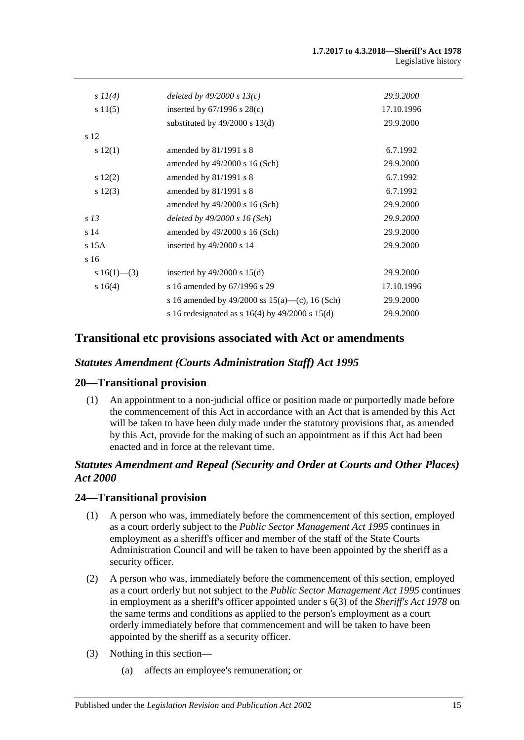| deleted by $49/2000 s 13(c)$                          | 29.9.2000  |
|-------------------------------------------------------|------------|
| inserted by $67/1996$ s $28(c)$                       | 17.10.1996 |
| substituted by $49/2000$ s 13(d)                      | 29.9.2000  |
|                                                       |            |
| amended by $81/1991$ s 8                              | 6.7.1992   |
| amended by $49/2000$ s 16 (Sch)                       | 29.9.2000  |
| amended by $81/1991$ s 8                              | 6.7.1992   |
| amended by 81/1991 s 8                                | 6.7.1992   |
| amended by $49/2000$ s 16 (Sch)                       | 29.9.2000  |
| deleted by $49/2000 s 16$ (Sch)                       | 29.9.2000  |
| amended by 49/2000 s 16 (Sch)                         | 29.9.2000  |
| inserted by $49/2000$ s 14                            | 29.9.2000  |
|                                                       |            |
| inserted by $49/2000$ s $15(d)$                       | 29.9.2000  |
| s 16 amended by 67/1996 s 29                          | 17.10.1996 |
| s 16 amended by 49/2000 ss $15(a)$ —(c), 16 (Sch)     | 29.9.2000  |
| s 16 redesignated as s $16(4)$ by $49/2000$ s $15(d)$ | 29.9.2000  |
|                                                       |            |

# **Transitional etc provisions associated with Act or amendments**

### *Statutes Amendment (Courts Administration Staff) Act 1995*

### **20—Transitional provision**

(1) An appointment to a non-judicial office or position made or purportedly made before the commencement of this Act in accordance with an Act that is amended by this Act will be taken to have been duly made under the statutory provisions that, as amended by this Act, provide for the making of such an appointment as if this Act had been enacted and in force at the relevant time.

## *Statutes Amendment and Repeal (Security and Order at Courts and Other Places) Act 2000*

### **24—Transitional provision**

- (1) A person who was, immediately before the commencement of this section, employed as a court orderly subject to the *Public [Sector Management Act](http://www.legislation.sa.gov.au/index.aspx?action=legref&type=act&legtitle=Public%20Sector%20Management%20Act%201995) 1995* continues in employment as a sheriff's officer and member of the staff of the State Courts Administration Council and will be taken to have been appointed by the sheriff as a security officer.
- (2) A person who was, immediately before the commencement of this section, employed as a court orderly but not subject to the *[Public Sector Management Act](http://www.legislation.sa.gov.au/index.aspx?action=legref&type=act&legtitle=Public%20Sector%20Management%20Act%201995) 1995* continues in employment as a sheriff's officer appointed under s 6(3) of the *[Sheriff's Act](http://www.legislation.sa.gov.au/index.aspx?action=legref&type=act&legtitle=Sheriffs%20Act%201978) 1978* on the same terms and conditions as applied to the person's employment as a court orderly immediately before that commencement and will be taken to have been appointed by the sheriff as a security officer.
- (3) Nothing in this section—
	- (a) affects an employee's remuneration; or